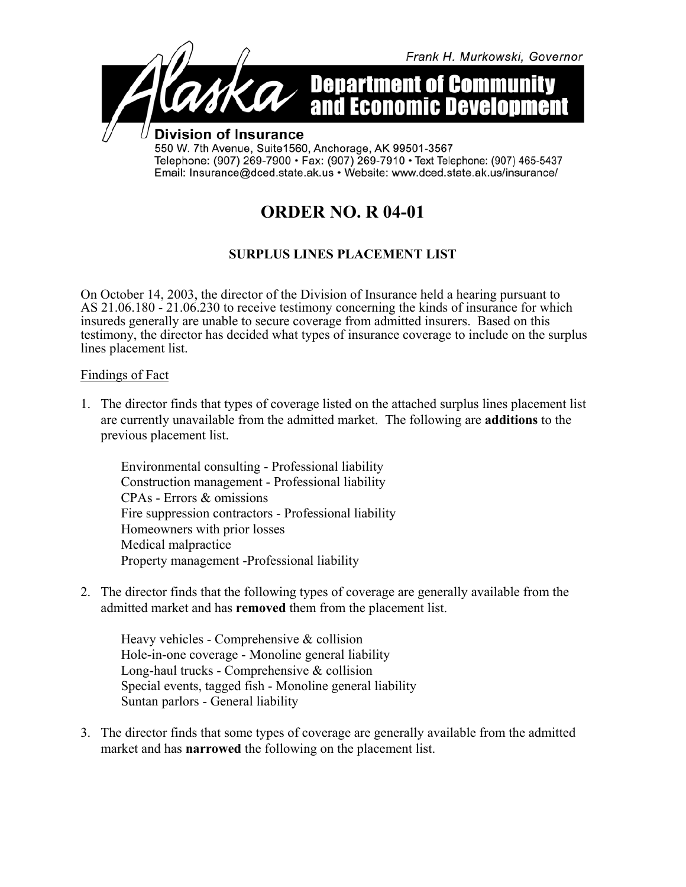

# **ORDER NO. R 04-01**

## **SURPLUS LINES PLACEMENT LIST**

On October 14, 2003, the director of the Division of Insurance held a hearing pursuant to AS 21.06.180 - 21.06.230 to receive testimony concerning the kinds of insurance for which insureds generally are unable to secure coverage from admitted insurers. Based on this testimony, the director has decided what types of insurance coverage to include on the surplus lines placement list.

### Findings of Fact

1. The director finds that types of coverage listed on the attached surplus lines placement list are currently unavailable from the admitted market. The following are **additions** to the previous placement list.

Environmental consulting - Professional liability Construction management - Professional liability CPAs - Errors & omissions Fire suppression contractors - Professional liability Homeowners with prior losses Medical malpractice Property management -Professional liability

2. The director finds that the following types of coverage are generally available from the admitted market and has **removed** them from the placement list.

Heavy vehicles - Comprehensive & collision Hole-in-one coverage - Monoline general liability Long-haul trucks - Comprehensive & collision Special events, tagged fish - Monoline general liability Suntan parlors - General liability

3. The director finds that some types of coverage are generally available from the admitted market and has **narrowed** the following on the placement list.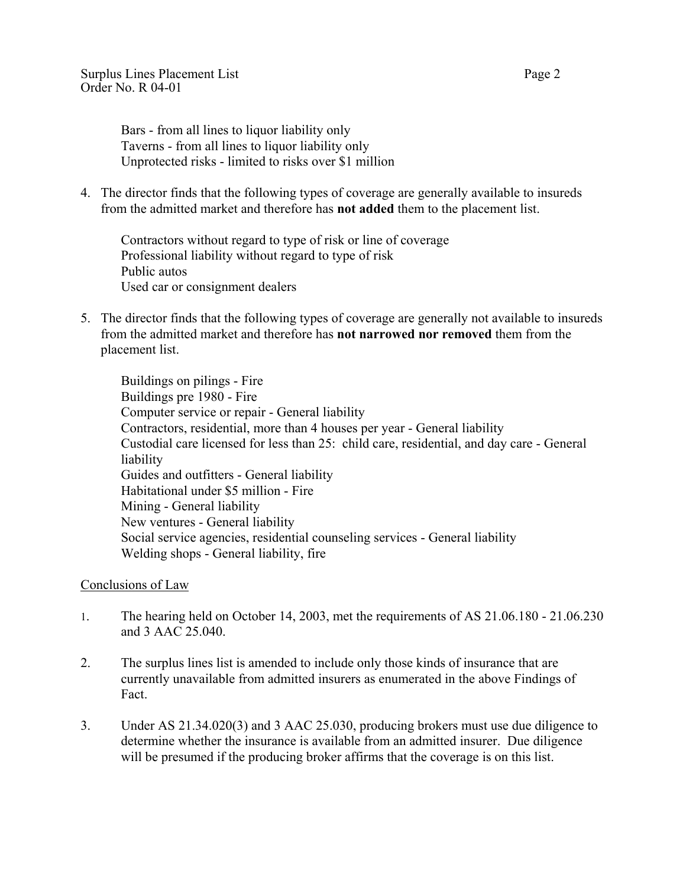Bars - from all lines to liquor liability only Taverns - from all lines to liquor liability only Unprotected risks - limited to risks over \$1 million

4. The director finds that the following types of coverage are generally available to insureds from the admitted market and therefore has **not added** them to the placement list.

Contractors without regard to type of risk or line of coverage Professional liability without regard to type of risk Public autos Used car or consignment dealers

5. The director finds that the following types of coverage are generally not available to insureds from the admitted market and therefore has **not narrowed nor removed** them from the placement list.

Buildings on pilings - Fire Buildings pre 1980 - Fire Computer service or repair - General liability Contractors, residential, more than 4 houses per year - General liability Custodial care licensed for less than 25: child care, residential, and day care - General liability Guides and outfitters - General liability Habitational under \$5 million - Fire Mining - General liability New ventures - General liability Social service agencies, residential counseling services - General liability Welding shops - General liability, fire

### Conclusions of Law

- 1. The hearing held on October 14, 2003, met the requirements of AS 21.06.180 21.06.230 and 3 AAC 25.040.
- 2. The surplus lines list is amended to include only those kinds of insurance that are currently unavailable from admitted insurers as enumerated in the above Findings of Fact.
- 3. Under AS 21.34.020(3) and 3 AAC 25.030, producing brokers must use due diligence to determine whether the insurance is available from an admitted insurer. Due diligence will be presumed if the producing broker affirms that the coverage is on this list.